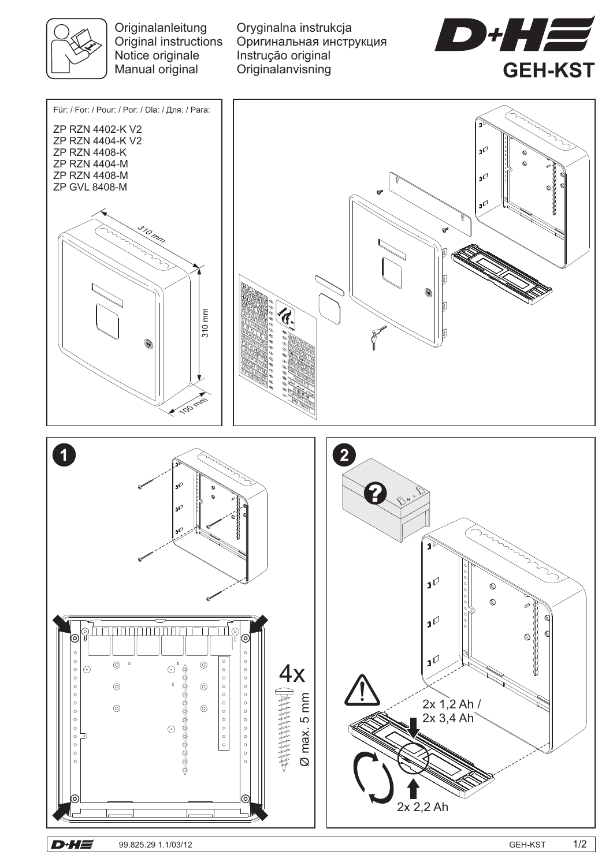

**Originalanleitung** Original instructions Notice originale Manual original

Oryginalna instrukcja Instrução original Originalanvisning Оригинальная инструкция





Ø max. 5 mm

Ø max. 5 mm 

 $\circ$  $\circ$  $\circ$   $\odot$ 

 $\odot$ 

 $\circledcirc$ 

 $\circ$  $\circ$ 

2x 2,2 Ah

2x 1,2 Ah / 2x 3,4 Ah